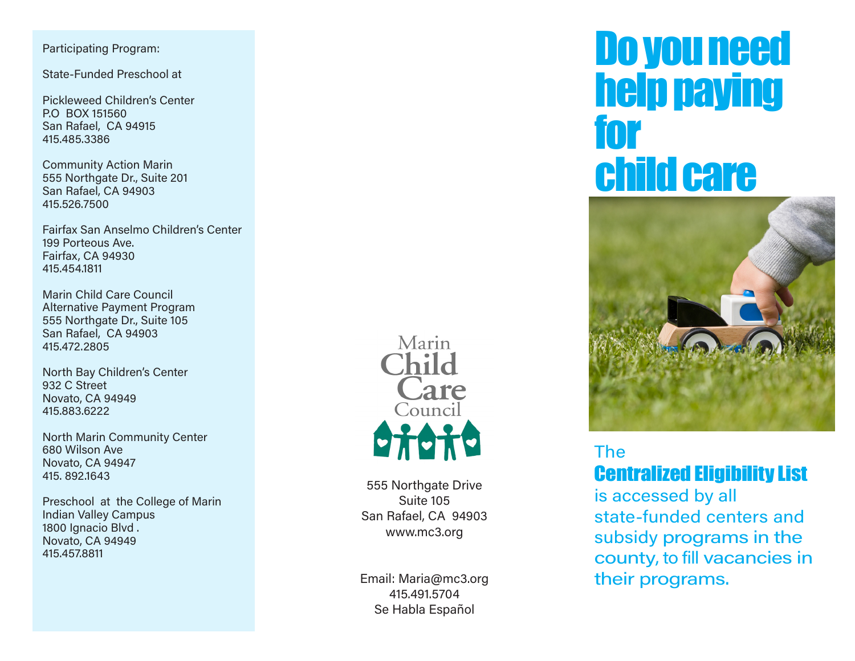Participating Program:

State-Funded Preschool at

Pickleweed Children's Center P.O BOX 151560 San Rafael, CA 94915 415.485.3386

Community Action Marin 555 Northgate Dr., Suite 201 San Rafael, CA 94903 415.526.7500

Fairfax San Anselmo Children's Center 199 Porteous Ave. Fairfax, CA 94930 415.454.1811

Marin Child Care Council Alternative Payment Program 555 Northgate Dr., Suite 105 San Rafael, CA 94903 415.472.2805

North Bay Children's Center 932 C Street Novato, CA 94949 415.883.6222

North Marin Community Center 680 Wilson Ave Novato, CA 94947 415. 892.1643

Preschool at the College of Marin Indian Valley Campus 1800 Ignacio Blvd . Novato, CA 94949 415.457.8811



555 Northgate Drive Suite 105 San Rafael, CA 94903 www.mc3.org

Email: Maria@mc3.org 415.491.5704 Se Habla Español

# Do you need help paying for child care



## The Centralized Eligibility List

is accessed by all state-funded centers and subsidy programs in the county, to fill vacancies in their programs.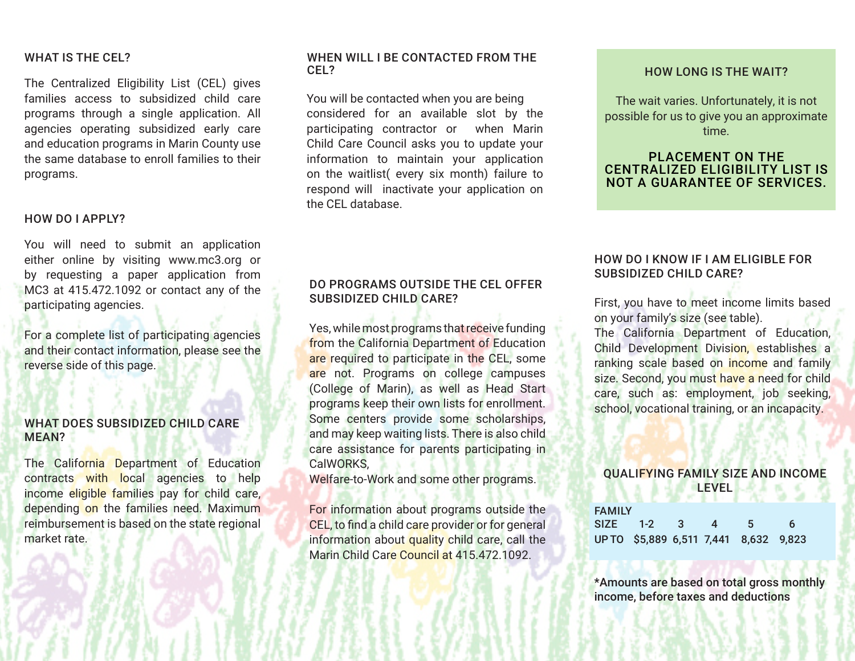#### WHAT IS THE CEL?

The Centralized Eligibility List (CEL) gives families access to subsidized child care programs through a single application. All agencies operating subsidized early care and education programs in Marin County use the same database to enroll families to their programs.

#### HOW DO I APPLY?

You will need to submit an application either online by visiting www.mc3.org or by requesting a paper application from MC3 at 415.472.1092 or contact any of the participating agencies.

For a complete list of participating agencies and their contact information, please see the reverse side of this page.

#### WHAT DOES SUBSIDIZED CHILD CARE MEAN?

The California Department of Education contracts with local agencies to help income eligible families pay for child care, depending on the families need. Maximum reimbursement is based on the state regional market rate.

#### WHEN WILL I BE CONTACTED FROM THE CEL?

You will be contacted when you are being considered for an available slot by the participating contractor or when Marin Child Care Council asks you to update your information to maintain your application on the waitlist( every six month) failure to respond will inactivate your application on the CEL database.

#### DO PROGRAMS OUTSIDE THE CEL OFFER SUBSIDIZED CHILD CARE?

Yes, while most programs that receive funding from the California Department of Education are required to participate in the CEL, some are not. Programs on college campuses (College of Marin), as well as Head Start programs keep their own lists for enrollment. Some centers provide some scholarships, and may keep waiting lists. There is also child care assistance for parents participating in CalWORKS,

Welfare-to-Work and some other programs.

For information about programs outside the CEL, to find a child care provider or for general information about quality child care, call the Marin Child Care Council at 415.472.1092.

#### HOW LONG IS THE WAIT?

The wait varies. Unfortunately, it is not possible for us to give you an approximate time.

#### PLACEMENT ON THE CENTRALIZED ELIGIBILITY LIST IS NOT A GUARANTEE OF SERVICES.

#### HOW DO I KNOW IF I AM ELIGIBLE FOR SUBSIDIZED CHILD CARE?

First, you have to meet income limits based on your family's size (see table).

The California Department of Education, Child Development Division, establishes a ranking scale based on income and family size. Second, you must have a need for child care, such as: employment, job seeking, school, vocational training, or an incapacity.

### QUALIFYING FAMILY SIZE AND INCOME LEVEL **LEVEL**

| <b>FAMILY</b> |            |                |                                       |  |
|---------------|------------|----------------|---------------------------------------|--|
|               | SIZE 1-2 3 | $\overline{A}$ | 5                                     |  |
|               |            |                | UP TO \$5,889 6,511 7,441 8,632 9,823 |  |

\*Amounts are based on total gross monthly income, before taxes and deductions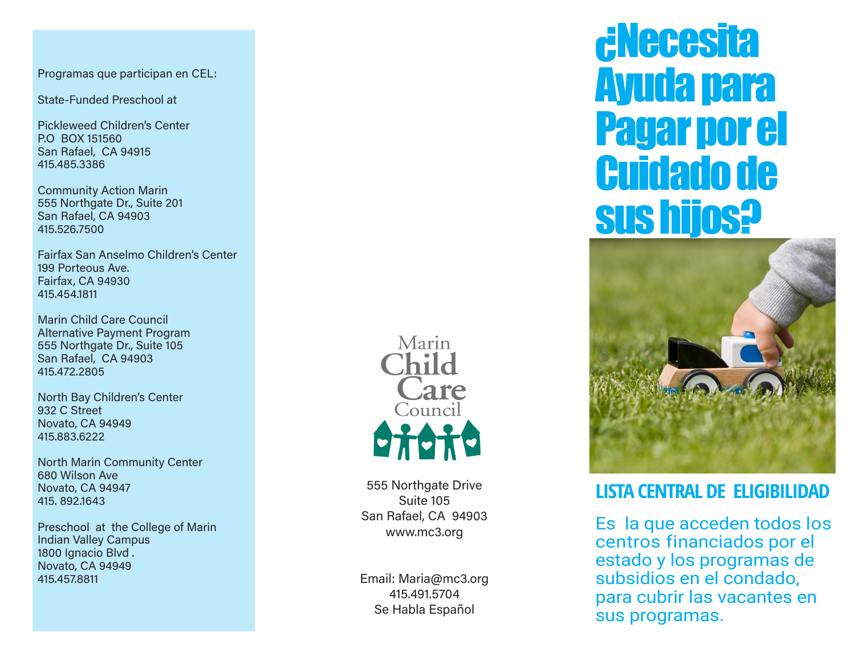Programas que participan en CEL:

State-Funded Preschool at

Pickleweed Children's Center P.O BOX 151560 San Rafael, CA 94915 415.485.3386

Community Action Marin 555 Northgate Dr., Suite 201 San Rafael, CA 94903 415.526.7500

Fairfax San Anselmo Children's Center 199 Porteous Ave. Fairfax, CA 94930 415.454.1811

Marin Child Care Council Alternative Payment Program 555 Northgate Dr., Suite 105 San Rafael, CA 94903 415.472.2805

North Bay Children's Center 932 C Street Novato, CA 94949 415.883.6222

North Marin Community Center 680 Wilson Ave Novato, CA 94947 415. 892.1643

Preschool at the College of Marin Indian Valley Campus 1800 Ignacio Blvd. Novato, CA 94949 415.457.8811



555 Northgate Drive Suite 105 San Rafael, CA 94903 www.mc3.org

Email: Maria@mc3.org 415.491.5704 Se Habla Español

# ¿Necesita Ayuda para Pagar por el Cuidado de sus hijos?



## **LISTA CENTRAL DE ELIGIBILIDAD**

Es la que acceden todos los centros financiados por el estado y los programas de subsidios en el condado, para cubrir las vacantes en sus programas.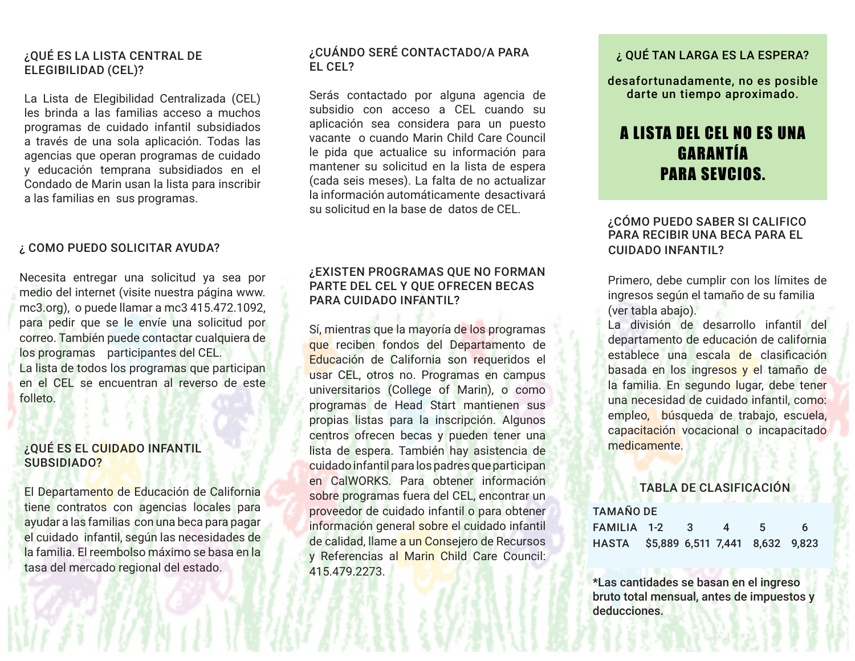#### ¿QUÉ ES LA LISTA CENTRAL DE ELEGIBILIDAD (CEL)?

La Lista de Elegibilidad Centralizada (CEL) les brinda a las familias acceso a muchos programas de cuidado infantil subsidiados a través de una sola aplicación. Todas las agencias que operan programas de cuidado y educación temprana subsidiados en el Condado de Marin usan la lista para inscribir a las familias en sus programas.

#### ¿ COMO PUEDO SOLICITAR AYUDA?

Necesita entregar una solicitud ya sea por medio del internet (visite nuestra página www. mc3.org), o puede llamar a mc3 415.472.1092, para pedir que se le envíe una solicitud por correo. También puede contactar cualquiera de los programas participantes del CEL. La lista de todos los programas que participan en el CEL se encuentran al reverso de este folleto.

#### ¿QUÉ ES EL CUIDADO INFANTIL SUBSIDIADO?

El Departamento de Educación de California tiene contratos con agencias locales para ayudar a las familias con una beca para pagar el cuidado infantil, según las necesidades de la familia. El reembolso máximo se basa en la tasa del mercado regional del estado.

#### ¿CUÁNDO SERÉ CONTACTADO/A PARA EL CEL?

Serás contactado por alguna agencia de subsidio con acceso a CEL cuando su aplicación sea considera para un puesto vacante o cuando Marin Child Care Council le pida que actualice su información para mantener su solicitud en la lista de espera (cada seis meses). La falta de no actualizar la información automáticamente desactivará su solicitud en la base de datos de CEL.

#### ¿EXISTEN PROGRAMAS QUE NO FORMAN PARTE DEL CEL Y QUE OFRECEN BECAS PARA CUIDADO INFANTIL?

Sí, mientras que la mayoría de los programas que reciben fondos del Departamento de Educación de California son requeridos el usar CEL, otros no. Programas en campus universitarios (College of Marin), o como programas de Head Start mantienen sus propias listas para la inscripción. Algunos centros ofrecen becas y pueden tener una lista de espera. También hay asistencia de cuidado infantil para los padres que participan en CalWORKS. Para obtener información sobre programas fuera del CEL, encontrar un proveedor de cuidado infantil o para obtener información general sobre el cuidado infantil de calidad, llame a un Consejero de Recursos y Referencias al Marin Child Care Council: 415.479.2273.

#### ¿ QUÉ TAN LARGA ES LA ESPERA?

desafortunadamente, no es posible darte un tiempo aproximado.

## A LISTA DEL CEL NO ES UNA GARANTÍA PARA SEVCIOS.

#### ¿CÓMO PUEDO SABER SI CALIFICO PARA RECIBIR UNA BECA PARA EL CUIDADO INFANTIL?

Primero, debe cumplir con los límites de ingresos según el tamaño de su familia (ver tabla abajo).

La división de desarrollo infantil del departamento de educación de california establece una escala de clasificación basada en los ingresos y el tamaño de la familia. En segundo lugar, debe tener una necesidad de cuidado infantil, como: empleo, búsqueda de trabajo, escuela, capacitación vocacional o incapacitado medicamente.

#### TABLA DE CLASIFICACIÓN

#### TAMAÑO DE

| FAMILIA 1-2 3 4 5 6                   |  |  |  |
|---------------------------------------|--|--|--|
| HASTA \$5,889 6,511 7,441 8,632 9,823 |  |  |  |

\*Las cantidades se basan en el ingreso bruto total mensual, antes de impuestos y deducciones.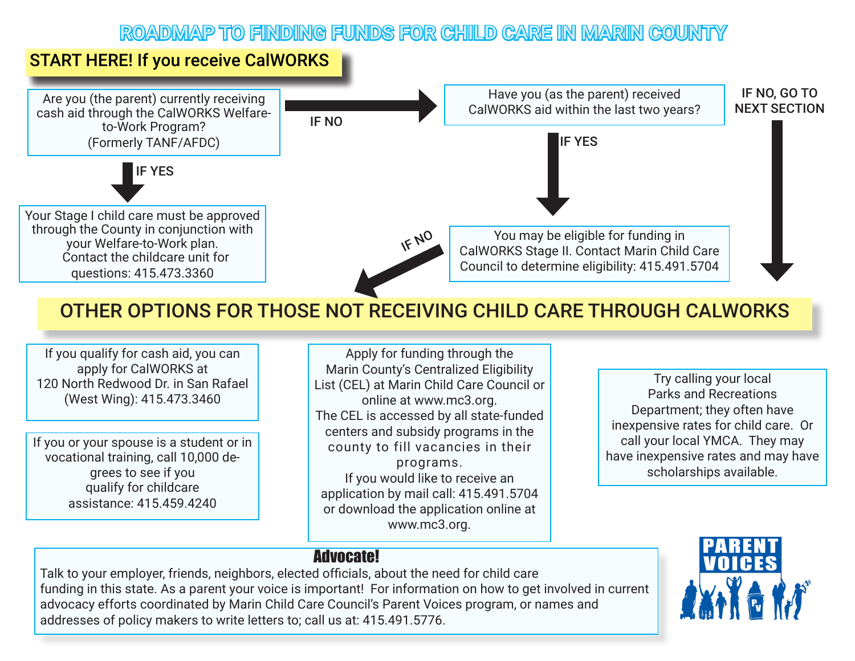## ROADMAP TO FINDING FUNDS FOR CHILD CARE IN MARIN COUNTY

## START HERE! If you receive CalWORKS



## OTHER OPTIONS FOR THOSE NOT RECEIVING CHILD CARE THROUGH CALWORKS

If you qualify for cash aid, you can apply for CalWORKS at 120 North Redwood Dr. in San Rafael (West Wing): 415.473.3460

If you or your spouse is a student or in vocational training, call 10,000 degrees to see if you qualify for childcare assistance: 415.459.4240

Apply for funding through the Marin County's Centralized Eligibility List (CEL) at Marin Child Care Council or online at www.mc3.org. The CEL is accessed by all state-funded centers and subsidy programs in the county to fill vacancies in their programs. If you would like to receive an application by mail call: 415.491.5704 or download the application online at www.mc3.org.

Try calling your local Parks and Recreations Department; they often have inexpensive rates for child care. Or call your local YMCA. They may have inexpensive rates and may have scholarships available.

## Advocate!

Talk to your employer, friends, neighbors, elected officials, about the need for child care funding in this state. As a parent your voice is important! For information on how to get involved in current advocacy efforts coordinated by Marin Child Care Council's Parent Voices program, or names and addresses of policy makers to write letters to; call us at: 415.491.5776.